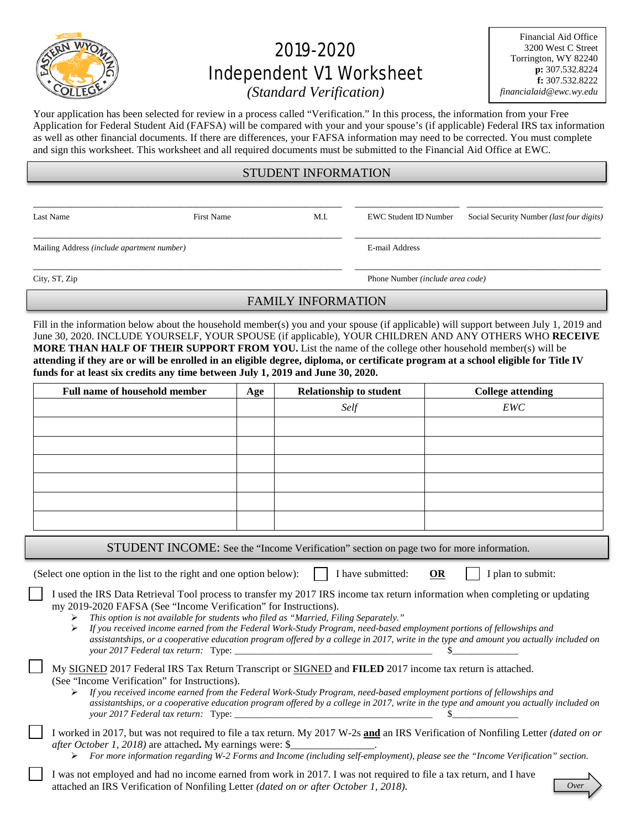

# 2019-2020 Independent V1 Worksheet

Financial Aid Office 3200 West C Street Torrington, WY 82240 **p:** 307.532.8224 **f:** 307.532.8222 *financialaid@ewc.wy.edu*

*(Standard Verification)*

Your application has been selected for review in a process called "Verification." In this process, the information from your Free Application for Federal Student Aid (FAFSA) will be compared with your and your spouse's (if applicable) Federal IRS tax information as well as other financial documents. If there are differences, your FAFSA information may need to be corrected. You must complete and sign this worksheet. This worksheet and all required documents must be submitted to the Financial Aid Office at EWC.

## STUDENT INFORMATION

\_\_\_\_\_\_\_\_\_\_\_\_\_\_\_\_\_\_\_\_\_\_\_\_\_\_\_\_\_\_\_\_\_\_\_\_\_\_\_\_\_\_\_\_\_\_\_\_\_\_\_\_\_\_\_\_\_\_\_ \_\_\_\_\_\_\_\_\_\_\_\_\_\_\_\_\_\_\_\_ \_\_\_\_\_\_\_\_\_\_\_\_\_\_\_\_\_\_\_\_\_\_\_\_\_\_

\_\_\_\_\_\_\_\_\_\_\_\_\_\_\_\_\_\_\_\_\_\_\_\_\_\_\_\_\_\_\_\_\_\_\_\_\_\_\_\_\_\_\_\_\_\_\_\_\_\_\_\_\_\_\_\_\_\_\_ \_\_\_\_\_\_\_\_\_\_\_\_\_\_\_\_\_\_\_\_\_\_\_\_\_\_\_\_\_\_\_\_\_\_\_\_\_\_\_\_\_\_\_\_\_\_\_

Mailing Address *(include apartment number)* E-mail Address

Last Name First Name First Name M.I. EWC Student ID Number Social Security Number *(last four digits)* 

\_\_\_\_\_\_\_\_\_\_\_\_\_\_\_\_\_\_\_\_\_\_\_\_\_\_\_\_\_\_\_\_\_\_\_\_\_\_\_\_\_\_\_\_\_\_\_\_\_\_\_\_\_\_\_\_\_\_\_ \_\_\_\_\_\_\_\_\_\_\_\_\_\_\_\_\_\_\_\_\_\_\_\_\_\_\_\_\_\_\_\_\_\_\_\_\_\_\_\_\_\_\_\_\_\_\_

City, ST, Zip Phone Number *(include area code)*

# FAMILY INFORMATION

Fill in the information below about the household member(s) you and your spouse (if applicable) will support between July 1, 2019 and June 30, 2020. INCLUDE YOURSELF, YOUR SPOUSE (if applicable), YOUR CHILDREN AND ANY OTHERS WHO **RECEIVE MORE THAN HALF OF THEIR SUPPORT FROM YOU.** List the name of the college other household member(s) will be **attending if they are or will be enrolled in an eligible degree, diploma, or certificate program at a school eligible for Title IV funds for at least six credits any time between July 1, 2019 and June 30, 2020.**

| Full name of household member | Age | <b>Relationship to student</b> | <b>College attending</b> |
|-------------------------------|-----|--------------------------------|--------------------------|
|                               |     | Self                           | EWC                      |
|                               |     |                                |                          |
|                               |     |                                |                          |
|                               |     |                                |                          |
|                               |     |                                |                          |
|                               |     |                                |                          |
|                               |     |                                |                          |
|                               |     |                                |                          |

STUDENT INCOME: See the "Income Verification" section on page two for more information.

(Select one option in the list to the right and one option below):  $\parallel$  I have submitted: **OR** I plan to submit:

I used the IRS Data Retrieval Tool process to transfer my 2017 IRS income tax return information when completing or updating my 2019-2020 FAFSA (See "Income Verification" for Instructions).

*This option is not available for students who filed as "Married, Filing Separately."*

 *If you received income earned from the Federal Work-Study Program, need-based employment portions of fellowships and assistantships, or a cooperative education program offered by a college in 2017, write in the type and amount you actually included on your 2017 Federal tax return:* Type: \_\_\_\_\_\_\_\_\_\_\_\_\_\_\_\_\_\_\_\_\_\_\_\_\_\_\_\_\_\_\_\_\_\_\_\_\_\_\_\_\_\_ \$\_\_\_\_\_\_\_\_\_\_\_\_\_\_

| My SIGNED 2017 Federal IRS Tax Return Transcript or SIGNED and FILED 2017 income tax return is attached. |  |
|----------------------------------------------------------------------------------------------------------|--|
| (See "Income Verification" for Instructions).                                                            |  |

 *If you received income earned from the Federal Work-Study Program, need-based employment portions of fellowships and assistantships, or a cooperative education program offered by a college in 2017, write in the type and amount you actually included on your 2017 Federal tax return:* Type: \_\_\_\_\_\_\_\_\_\_\_\_\_\_\_\_\_\_\_\_\_\_\_\_\_\_\_\_\_\_\_\_\_\_\_\_\_\_\_\_\_\_ \$\_\_\_\_\_\_\_\_\_\_\_\_\_\_

I worked in 2017, but was not required to file a tax return. My 2017 W-2s **and** an IRS Verification of Nonfiling Letter *(dated on or after October 1, 2018)* are attached**.** My earnings were: \$\_\_\_\_\_\_\_\_\_\_\_\_\_\_\_\_.

*For more information regarding W-2 Forms and Income (including self-employment), please see the "Income Verification" section.* 

I was not employed and had no income earned from work in 2017. I was not required to file a tax return, and I have attached an IRS Verification of Nonfiling Letter *(dated on or after October 1, 2018)*.